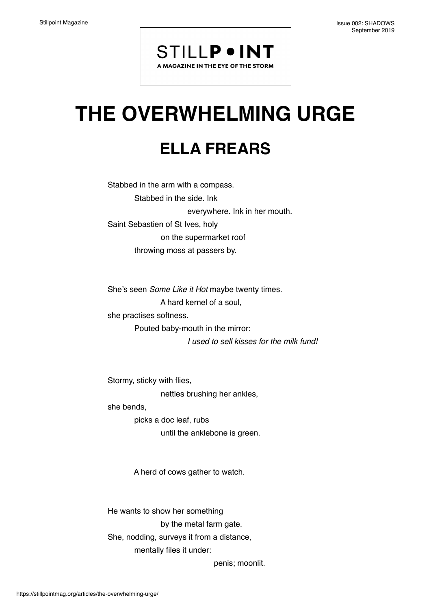## **STILLP . INT**

A MAGAZINE IN THE EYE OF THE STORM

## **THE OVERWHELMING URGE**

## **ELLA FREARS**

Stabbed in the arm with a compass. Stabbed in the side. Ink everywhere. Ink in her mouth. Saint Sebastien of St Ives, holy on the supermarket roof throwing moss at passers by.

She's seen *Some Like it Hot* maybe twenty times. A hard kernel of a soul, she practises softness. Pouted baby-mouth in the mirror:

*I used to sell kisses for the milk fund!*

Stormy, sticky with flies, nettles brushing her ankles,

she bends,

 picks a doc leaf, rubs until the anklebone is green.

A herd of cows gather to watch.

He wants to show her something by the metal farm gate. She, nodding, surveys it from a distance, mentally files it under:

penis; moonlit.